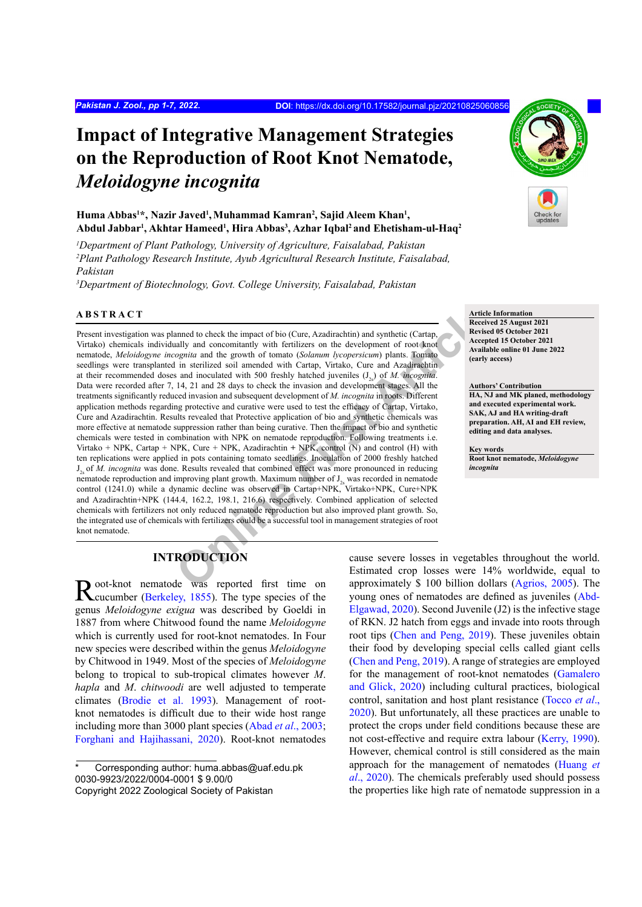# **Impact of Integrative Management Strategies on the Reproduction of Root Knot Nematode,**  *Meloidogyne incognita*

#### Huma Abbas<sup>1\*</sup>, Nazir Javed<sup>1</sup>, Muhammad Kamran<sup>2</sup>, Sajid Aleem Khan<sup>1</sup>, **Abdul Jabbar1 , Akhtar Hameed1 , Hira Abbas3 , Azhar Iqbal2 and Ehetisham-ul-Haq2**

*1 Department of Plant Pathology, University of Agriculture, Faisalabad, Pakistan 2 Plant Pathology Research Institute, Ayub Agricultural Research Institute, Faisalabad, Pakistan*

*3 Department of Biotechnology, Govt. College University, Faisalabad, Pakistan*

#### **ABSTRACT**

anned to check the impact of bio (Cure, Azadirachtin) and synthetic (Cartap,<br> **Recise**<br>
Reviseo agginta and the growth of tools and the growth of tools and in growth of toontato (*Solution* by cocceptic *Carta)* and the mu Present investigation was planned to check the impact of bio (Cure, Azadirachtin) and synthetic (Cartap, Virtako) chemicals individually and concomitantly with fertilizers on the development of root knot nematode, *Meloidogyne incognita* and the growth of tomato (*Solanum lycopersicum*) plants. Tomato seedlings were transplanted in sterilized soil amended with Cartap, Virtako, Cure and Azadirachtin at their recommended doses and inoculated with 500 freshly hatched juveniles (J<sub>2s</sub>) of *M. incognita*. Data were recorded after 7, 14, 21 and 28 days to check the invasion and development stages. All the treatments significantly reduced invasion and subsequent development of *M. incognita* in roots. Different application methods regarding protective and curative were used to test the efficacy of Cartap, Virtako, Cure and Azadirachtin. Results revealed that Protective application of bio and synthetic chemicals was more effective at nematode suppression rather than being curative. Then the impact of bio and synthetic chemicals were tested in combination with NPK on nematode reproduction. Following treatments i.e. Virtako + NPK, Cartap + NPK, Cure + NPK, Azadirachtin **+** NPK, control (N) and control (H) with ten replications were applied in pots containing tomato seedlings. Inoculation of 2000 freshly hatched J2s of *M. incognita* was done. Results revealed that combined effect was more pronounced in reducing nematode reproduction and improving plant growth. Maximum number of  $J_{2s}$  was recorded in nematode control (1241.0) while a dynamic decline was observed in Cartap+NPK, Virtako+NPK, Cure+NPK and Azadirachtin+NPK (144.4, 162.2, 198.1, 216.6) respectively. Combined application of selected chemicals with fertilizers not only reduced nematode reproduction but also improved plant growth. So, the integrated use of chemicals with fertilizers could be a successful tool in management strategies of root knot nematode.

## **INTRODUCTION**

Root-knot nematode was reported first time on Reucumber [\(Berkeley, 1855](#page-7-0)). The type species of the genus *Meloidogyne exigua* was described by Goeldi in 1887 from where Chitwood found the name *Meloidogyne*  which is currently used for root-knot nematodes. In Four new species were described within the genus *Meloidogyne*  by Chitwood in 1949. Most of the species of *Meloidogyne*  belong to tropical to sub-tropical climates however *M*. *hapla* and *M*. *chitwoodi* are well adjusted to temperate climates ([Brodie et](#page-7-1) al. 1993). Management of rootknot nematodes is difficult due to their wide host range including more than 3000 plant species (Abad *et al*[., 2003](#page-6-0); [Forghani and Hajihassani, 2020\)](#page-7-2). Root-knot nematodes



**Article Information Received 25 August 2021 Revised 05 October 2021 Accepted 15 October 2021 Available online 01 June 2022 (early access)**

**Authors' Contribution HA, NJ and MK planed, methodology and executed experimental work. SAK, AJ and HA writing-draft preparation. AH, AI and EH review, editing and data analyses.**

**Key words Root knot nematode,** *Meloidogyne incognita*

cause severe losses in vegetables throughout the world. Estimated crop losses were 14% worldwide, equal to approximately \$ 100 billion dollars ([Agrios, 2005](#page-6-1)). The young ones of nematodes are defined as juveniles ([Abd-](#page-6-2)[Elgawad, 2020](#page-6-2)). Second Juvenile (J2) is the infective stage of RKN. J2 hatch from eggs and invade into roots through root tips [\(Chen and Peng, 2019\)](#page-7-3). These juveniles obtain their food by developing special cells called giant cells [\(Chen and Peng, 2019\)](#page-7-3). A range of strategies are employed for the management of root-knot nematodes [\(Gamalero](#page-7-4) [and Glick, 2020\)](#page-7-4) including cultural practices, biological control, sanitation and host plant resistance ([Tocco](#page-8-0) *et al*., [2020\)](#page-8-0). But unfortunately, all these practices are unable to protect the crops under field conditions because these are not cost-effective and require extra labour ([Kerry, 1990\)](#page-7-5). However, chemical control is still considered as the main approach for the management of nematodes ([Huang](#page-7-6) *et al*[., 2020\)](#page-7-6). The chemicals preferably used should possess the properties like high rate of nematode suppression in a

Corresponding author: huma.abbas@uaf.edu.pk 0030-9923/2022/0004-0001 \$ 9.00/0 Copyright 2022 Zoological Society of Pakistan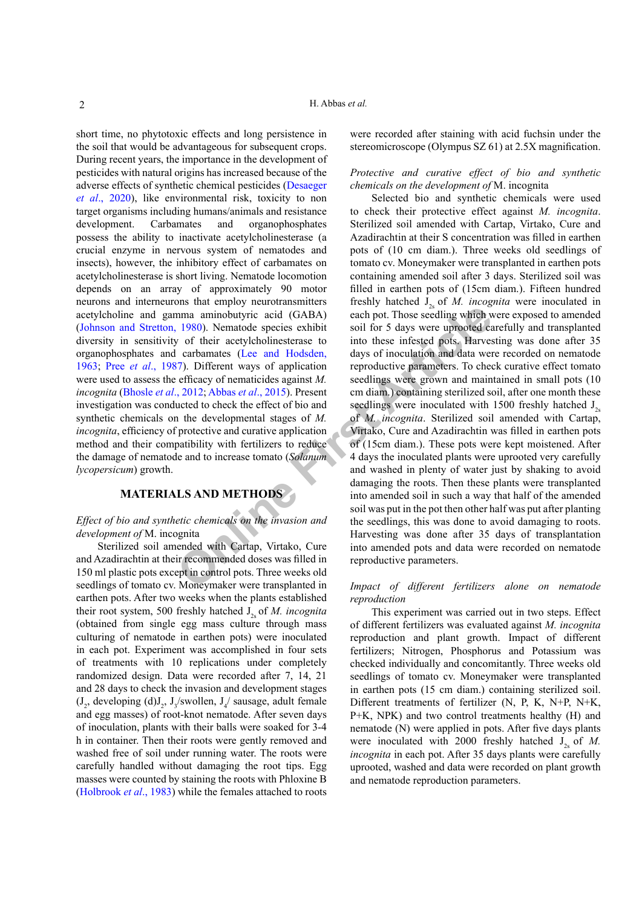short time, no phytotoxic effects and long persistence in the soil that would be advantageous for subsequent crops. During recent years, the importance in the development of pesticides with natural origins has increased because of the adverse effects of synthetic chemical pesticides ([Desaeger](#page-7-7) *et al*[., 2020](#page-7-7)), like environmental risk, toxicity to non target organisms including humans/animals and resistance development. Carbamates and organophosphates possess the ability to inactivate acetylcholinesterase (a crucial enzyme in nervous system of nematodes and insects), however, the inhibitory effect of carbamates on acetylcholinesterase is short living. Nematode locomotion depends on an array of approximately 90 motor neurons and interneurons that employ neurotransmitters acetylcholine and gamma aminobutyric acid (GABA) [\(Johnson and Stretton, 1980](#page-7-8)). Nematode species exhibit diversity in sensitivity of their acetylcholinesterase to organophosphates and carbamates (Lee and Hodsden, [1963;](#page-8-1) Pree *et al*[., 1987](#page-8-2)). Different ways of application were used to assess the efficacy of nematicides against *M. incognita* (Bhosle *et al*., 2012; Abbas *et al*., 2015). Present investigation was conducted to check the effect of bio and synthetic chemicals on the developmental stages of *M. incognita*, efficiency of protective and curative application method and their compatibility with fertilizers to reduce the damage of nematode and to increase tomato (*Solanum lycopersicum*) growth.

## **MATERIALS AND METHODS**

#### *Effect of bio and synthetic chemicals on the invasion and development of* M. incognita

Sterilized soil amended with Cartap, Virtako, Cure and Azadirachtin at their recommended doses was filled in 150 ml plastic pots except in control pots. Three weeks old seedlings of tomato cv. Moneymaker were transplanted in earthen pots. After two weeks when the plants established their root system, 500 freshly hatched J<sub>2</sub> of *M. incognita* (obtained from single egg mass culture through mass culturing of nematode in earthen pots) were inoculated in each pot. Experiment was accomplished in four sets of treatments with 10 replications under completely randomized design. Data were recorded after 7, 14, 21 and 28 days to check the invasion and development stages  $(J_2, \text{developing (d)} J_2, J_3/\text{swollen}, J_4/\text{sausage}, \text{adult female})$ and egg masses) of root-knot nematode. After seven days of inoculation, plants with their balls were soaked for 3-4 h in container. Then their roots were gently removed and washed free of soil under running water. The roots were carefully handled without damaging the root tips. Egg masses were counted by staining the roots with Phloxine B [\(Holbrook](#page-7-10) *et al*., 1983) while the females attached to roots

were recorded after staining with acid fuchsin under the stereomicroscope (Olympus SZ 61) at 2.5X magnification.

#### *Protective and curative effect of bio and synthetic chemicals on the development of* M. incognita

**Example 18**<br> **Example 1980**). Nematode species exhibit soil for 5 days were uprooted can aminobuty<br> **Online First Article** (GABA) each pot. Those seedling which with solid for 5 days were uprooted can<br> **ONLINE CABA articl** Selected bio and synthetic chemicals were used to check their protective effect against *M. incognita*. Sterilized soil amended with Cartap, Virtako, Cure and Azadirachtin at their S concentration was filled in earthen pots of (10 cm diam.). Three weeks old seedlings of tomato cv. Moneymaker were transplanted in earthen pots containing amended soil after 3 days. Sterilized soil was filled in earthen pots of (15cm diam.). Fifteen hundred freshly hatched J<sub>2s</sub> of *M. incognita* were inoculated in each pot. Those seedling which were exposed to amended soil for 5 days were uprooted carefully and transplanted into these infested pots. Harvesting was done after 35 days of inoculation and data were recorded on nematode reproductive parameters. To check curative effect tomato seedlings were grown and maintained in small pots (10 cm diam.) containing sterilized soil, after one month these seedlings were inoculated with 1500 freshly hatched  $J_{2s}$ of *M. incognita*. Sterilized soil amended with Cartap, Virtako, Cure and Azadirachtin was filled in earthen pots of (15cm diam.). These pots were kept moistened. After 4 days the inoculated plants were uprooted very carefully and washed in plenty of water just by shaking to avoid damaging the roots. Then these plants were transplanted into amended soil in such a way that half of the amended soil was put in the pot then other half was put after planting the seedlings, this was done to avoid damaging to roots. Harvesting was done after 35 days of transplantation into amended pots and data were recorded on nematode reproductive parameters.

#### *Impact of different fertilizers alone on nematode reproduction*

This experiment was carried out in two steps. Effect of different fertilizers was evaluated against *M. incognita* reproduction and plant growth. Impact of different fertilizers; Nitrogen, Phosphorus and Potassium was checked individually and concomitantly. Three weeks old seedlings of tomato cv. Moneymaker were transplanted in earthen pots (15 cm diam.) containing sterilized soil. Different treatments of fertilizer (N, P, K, N+P, N+K, P+K, NPK) and two control treatments healthy (H) and nematode (N) were applied in pots. After five days plants were inoculated with 2000 freshly hatched  $J_{2s}$  of *M*. *incognita* in each pot. After 35 days plants were carefully uprooted, washed and data were recorded on plant growth and nematode reproduction parameters.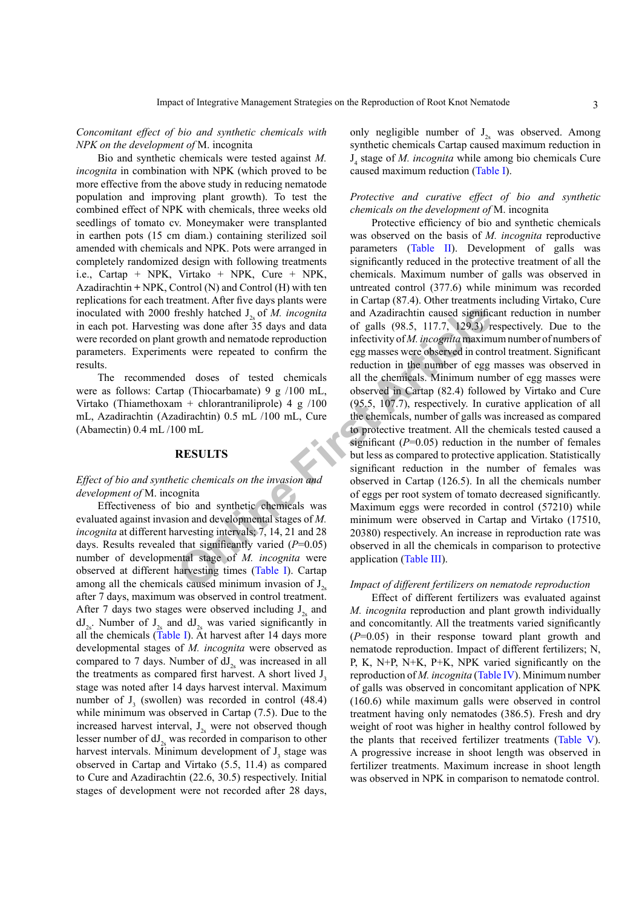*Concomitant effect of bio and synthetic chemicals with NPK on the development of* M. incognita

Bio and synthetic chemicals were tested against *M. incognita* in combination with NPK (which proved to be more effective from the above study in reducing nematode population and improving plant growth). To test the combined effect of NPK with chemicals, three weeks old seedlings of tomato cv. Moneymaker were transplanted in earthen pots (15 cm diam.) containing sterilized soil amended with chemicals and NPK. Pots were arranged in completely randomized design with following treatments i.e., Cartap + NPK, Virtako + NPK, Cure + NPK, Azadirachtin **+** NPK, Control (N) and Control (H) with ten replications for each treatment. After five days plants were inoculated with 2000 freshly hatched J<sub>2</sub> of *M. incognita* in each pot. Harvesting was done after 35 days and data were recorded on plant growth and nematode reproduction parameters. Experiments were repeated to confirm the results.

The recommended doses of tested chemicals were as follows: Cartap (Thiocarbamate) 9 g /100 mL, Virtako (Thiamethoxam + chlorantraniliprole) 4 g /100 mL, Azadirachtin (Azadirachtin) 0.5 mL /100 mL, Cure (Abamectin) 0.4 mL /100 mL

#### **RESULTS**

#### *Effect of bio and synthetic chemicals on the invasion and development of* M. incognita

Effectiveness of bio and synthetic chemicals was evaluated against invasion and developmental stages of *M. incognita* at different harvesting intervals; 7, 14, 21 and 28 days. Results revealed that significantly varied (*P*=0.05) number of developmental stage of *M. incognita* were observed at different harvesting times (Table I). Cartap among all the chemicals caused minimum invasion of  $J_{2s}$ after 7 days, maximum was observed in control treatment. After 7 days two stages were observed including  $J<sub>2</sub>$  and  $dJ_{2s}$ . Number of  $J_{2s}$  and  $dJ_{2s}$  was varied significantly in all the chemicals [\(Table I\)](#page-3-0). At harvest after 14 days more developmental stages of *M. incognita* were observed as compared to 7 days. Number of  $dJ<sub>2s</sub>$  was increased in all the treatments as compared first harvest. A short lived J<sub>2</sub> stage was noted after 14 days harvest interval. Maximum number of  $J_3$  (swollen) was recorded in control (48.4) while minimum was observed in Cartap (7.5). Due to the increased harvest interval,  $J_{2s}$  were not observed though lesser number of  $dJ_{2s}$  was recorded in comparison to other harvest intervals. Minimum development of  $J_3$  stage was observed in Cartap and Virtako (5.5, 11.4) as compared to Cure and Azadirachtin (22.6, 30.5) respectively. Initial stages of development were not recorded after 28 days,

only negligible number of  $J_{2s}$  was observed. Among synthetic chemicals Cartap caused maximum reduction in J4 stage of *M. incognita* while among bio chemicals Cure caused maximum reduction [\(Table I](#page-3-0)).

#### *Protective and curative effect of bio and synthetic chemicals on the development of* M. incognita

freshly hatched  $J_{2.9}$  of *M. incognita* and Azadirachtin caused signific<br>g was done after 35 days and data of galls (98.5, 117.7, 129.3) reformand the matched reproduction infectivity of *M. incognita* maximum<br>this wer Protective efficiency of bio and synthetic chemicals was observed on the basis of *M. incognita* reproductive parameters ([Table II\)](#page-3-1). Development of galls was significantly reduced in the protective treatment of all the chemicals. Maximum number of galls was observed in untreated control (377.6) while minimum was recorded in Cartap (87.4). Other treatments including Virtako, Cure and Azadirachtin caused significant reduction in number of galls (98.5, 117.7, 129.3) respectively. Due to the infectivity of *M. incognita* maximum number of numbers of egg masses were observed in control treatment. Significant reduction in the number of egg masses was observed in all the chemicals. Minimum number of egg masses were observed in Cartap (82.4) followed by Virtako and Cure (95.5, 107.7), respectively. In curative application of all the chemicals, number of galls was increased as compared to protective treatment. All the chemicals tested caused a significant  $(P=0.05)$  reduction in the number of females but less as compared to protective application. Statistically significant reduction in the number of females was observed in Cartap (126.5). In all the chemicals number of eggs per root system of tomato decreased significantly. Maximum eggs were recorded in control (57210) while minimum were observed in Cartap and Virtako (17510, 20380) respectively. An increase in reproduction rate was observed in all the chemicals in comparison to protective application (Table III).

#### *Impact of different fertilizers on nematode reproduction*

Effect of different fertilizers was evaluated against *M. incognita* reproduction and plant growth individually and concomitantly. All the treatments varied significantly (*P*=0.05) in their response toward plant growth and nematode reproduction. Impact of different fertilizers; N, P, K, N+P, N+K, P+K, NPK varied significantly on the reproduction of *M. incognita* ([Table IV](#page-4-1)). Minimum number of galls was observed in concomitant application of NPK (160.6) while maximum galls were observed in control treatment having only nematodes (386.5). Fresh and dry weight of root was higher in healthy control followed by the plants that received fertilizer treatments [\(Table V](#page-4-2)). A progressive increase in shoot length was observed in fertilizer treatments. Maximum increase in shoot length was observed in NPK in comparison to nematode control.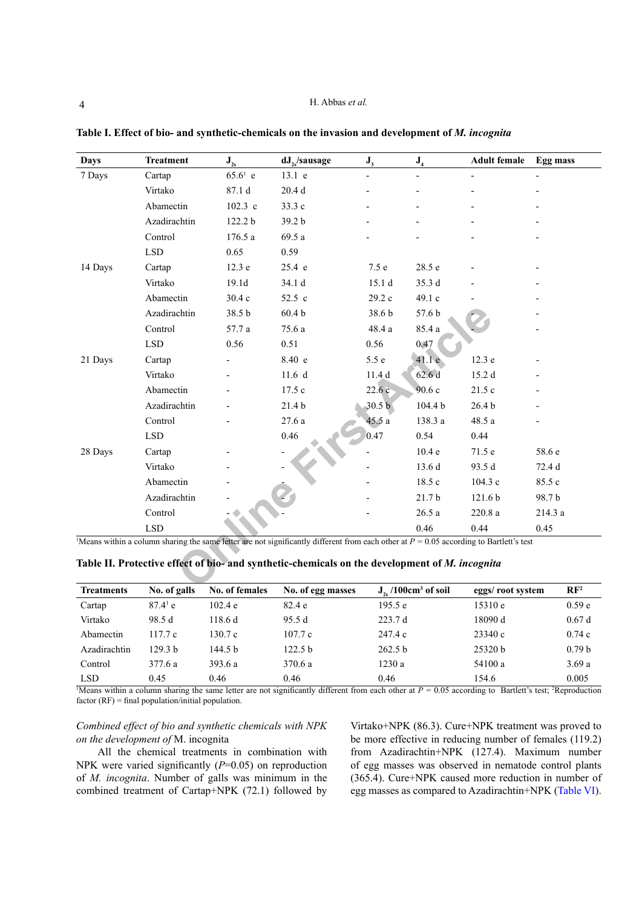| Days    | <b>Treatment</b>            | $J_{2s}$   | dJ <sub>2</sub> /sausage                                                                                                                 | J <sub>3</sub>           | ${\bf J}_4$             | <b>Adult female</b> | <b>Egg mass</b> |
|---------|-----------------------------|------------|------------------------------------------------------------------------------------------------------------------------------------------|--------------------------|-------------------------|---------------------|-----------------|
| 7 Days  | Cartap                      | $65.6^1$ e | 13.1 e                                                                                                                                   | $\overline{\phantom{0}}$ | $\blacksquare$          |                     |                 |
|         | Virtako                     | 87.1 d     | 20.4 <sub>d</sub>                                                                                                                        |                          |                         |                     |                 |
|         | Abamectin                   | $102.3$ c  | 33.3 c                                                                                                                                   |                          |                         |                     |                 |
|         | Azadirachtin                | 122.2 b    | 39.2 b                                                                                                                                   |                          |                         |                     |                 |
|         | Control                     | 176.5 a    | 69.5 a                                                                                                                                   |                          |                         |                     |                 |
|         | LSD                         | 0.65       | 0.59                                                                                                                                     |                          |                         |                     |                 |
| 14 Days | Cartap                      | 12.3 e     | 25.4 e                                                                                                                                   | 7.5 e                    | 28.5 e                  |                     |                 |
|         | Virtako                     | 19.1d      | 34.1 d                                                                                                                                   | 15.1 <sub>d</sub>        | 35.3 d                  |                     |                 |
|         | Abamectin                   | 30.4 c     | 52.5 c                                                                                                                                   | 29.2 c                   | 49.1 c                  |                     |                 |
|         | Azadirachtin                | 38.5 b     | 60.4 <sub>b</sub>                                                                                                                        | 38.6 b                   | 57.6 b                  |                     |                 |
|         | Control                     | 57.7 a     | 75.6 a                                                                                                                                   | 48.4 a                   | 85.4 a                  |                     |                 |
|         | <b>LSD</b>                  | 0.56       | 0.51                                                                                                                                     | 0.56                     | 0.47                    |                     |                 |
| 21 Days | Cartap                      |            | 8.40 e                                                                                                                                   | 5.5 e                    | 41.1 e                  | 12.3 e              |                 |
|         | Virtako                     |            | 11.6 <sub>d</sub>                                                                                                                        | 11.4 <sub>d</sub>        | 62.6d                   | 15.2 d              |                 |
|         | Abamectin                   |            | 17.5 c                                                                                                                                   | 22.6c                    | 90.6 c                  | 21.5c               |                 |
|         | Azadirachtin                |            | 21.4 b                                                                                                                                   | 30.5 <sub>b</sub>        | 104.4 b                 | 26.4 <sub>b</sub>   |                 |
|         | Control                     |            | 27.6a                                                                                                                                    | 45.5 a                   | 138.3 a                 | 48.5 a              |                 |
|         | $\ensuremath{\mathrm{LSD}}$ |            | 0.46                                                                                                                                     | 0.47                     | 0.54                    | 0.44                |                 |
| 28 Days | Cartap                      |            |                                                                                                                                          |                          | 10.4 e                  | 71.5 e              | 58.6 e          |
|         | Virtako                     |            |                                                                                                                                          |                          | 13.6 d                  | 93.5 d              | 72.4 d          |
|         | Abamectin                   |            |                                                                                                                                          |                          | 18.5 c                  | 104.3 c             | 85.5 c          |
|         | Azadirachtin                |            |                                                                                                                                          |                          | 21.7 <sub>b</sub>       | 121.6b              | 98.7b           |
|         | Control                     |            |                                                                                                                                          |                          | 26.5a                   | 220.8a              | 214.3 a         |
|         | <b>LSD</b>                  |            |                                                                                                                                          |                          | 0.46                    | 0.44                | 0.45            |
|         |                             |            | Means within a column sharing the same letter are not significantly different from each other at $P = 0.05$ according to Bartlett's test |                          |                         |                     |                 |
|         |                             |            | Table II. Protective effect of bio- and synthetic-chemicals on the development of M. incognita                                           |                          |                         |                     |                 |
|         | $\mathbf{e}$ in             | $^{\circ}$ | $\epsilon$<br>$\mathbf{X}$                                                                                                               |                          | $T = 1400 - 3$ $P = 21$ |                     | n m             |

<span id="page-3-0"></span>**Table I. Effect of bio- and synthetic-chemicals on the invasion and development of** *M. incognita*

<span id="page-3-1"></span>

|  |  |  | Table II. Protective effect of bio- and synthetic-chemicals on the development of M. incognita |  |  |
|--|--|--|------------------------------------------------------------------------------------------------|--|--|
|--|--|--|------------------------------------------------------------------------------------------------|--|--|

| <b>Treatments</b> | No. of galls     | No. of females | No. of egg masses  | $J_{2e}$ /100cm <sup>3</sup> of soil                                                                                                                                             | eggs/root system | $\mathbb{R}F^2$   |
|-------------------|------------------|----------------|--------------------|----------------------------------------------------------------------------------------------------------------------------------------------------------------------------------|------------------|-------------------|
| Cartap            | $87.4^{\circ}$ e | 102.4 e        | 82.4e              | 195.5 e                                                                                                                                                                          | 15310 e          | 0.59e             |
| Virtako           | 98.5 d           | 118.6d         | 95.5 d             | 223.7 d                                                                                                                                                                          | 18090 d          | 0.67d             |
| Abamectin         | 117.7c           | 130.7c         | 107.7c             | 247.4c                                                                                                                                                                           | 23340 c          | 0.74c             |
| Azadirachtin      | 129.3 h          | 144.5 b        | 122.5 <sub>b</sub> | 262.5 <sub>b</sub>                                                                                                                                                               | 25320 h          | 0.79 <sub>b</sub> |
| Control           | 377.6 a          | 393.6 a        | 370.6 a            | 1230a                                                                                                                                                                            | 54100 a          | 3.69a             |
| <b>LSD</b>        | 0.45             | 0.46           | 0.46               | 0.46                                                                                                                                                                             | 154.6            | 0.005             |
|                   |                  |                |                    | <sup>1</sup> Means within a column sharing the same letter are not significantly different from each other at $P = 0.05$ according to Bartlett's test; <sup>2</sup> Reproduction |                  |                   |

 $factor (RF) = final population/initial population.$ 

### *Combined effect of bio and synthetic chemicals with NPK on the development of* M. incognita

All the chemical treatments in combination with NPK were varied significantly (*P*=0.05) on reproduction of *M. incognita*. Number of galls was minimum in the combined treatment of Cartap+NPK (72.1) followed by Virtako+NPK (86.3). Cure+NPK treatment was proved to be more effective in reducing number of females (119.2) from Azadirachtin+NPK (127.4). Maximum number of egg masses was observed in nematode control plants (365.4). Cure+NPK caused more reduction in number of egg masses as compared to Azadirachtin+NPK [\(Table VI](#page-5-0)).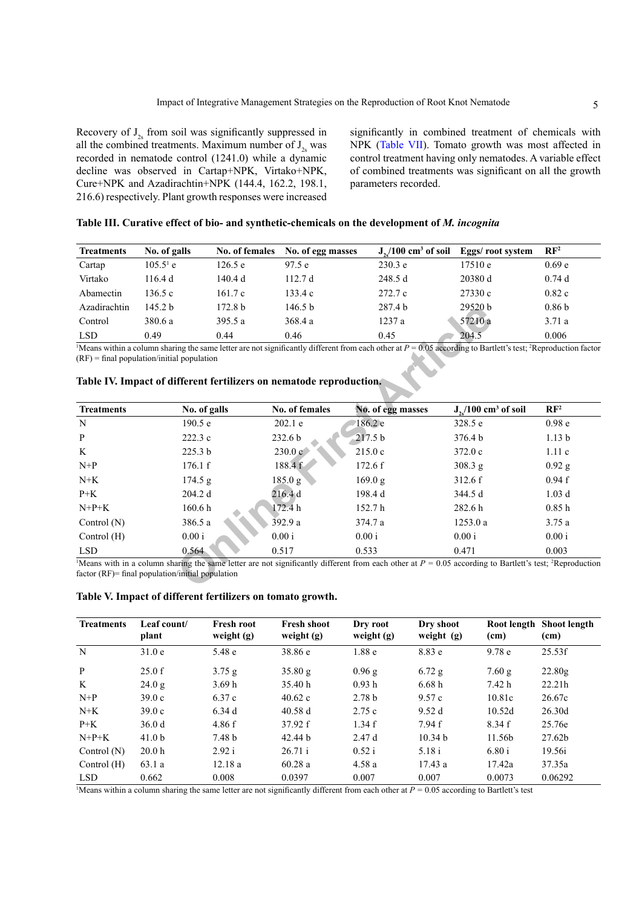Recovery of  $J_{2s}$  from soil was significantly suppressed in all the combined treatments. Maximum number of  $J_{2s}$  was recorded in nematode control (1241.0) while a dynamic decline was observed in Cartap+NPK, Virtako+NPK, Cure+NPK and Azadirachtin+NPK (144.4, 162.2, 198.1, 216.6) respectively. Plant growth responses were increased

significantly in combined treatment of chemicals with NPK [\(Table VII](#page-5-1)). Tomato growth was most affected in control treatment having only nematodes. A variable effect of combined treatments was significant on all the growth parameters recorded.

#### <span id="page-4-0"></span>**Table III. Curative effect of bio- and synthetic-chemicals on the development of** *M. incognita*

| <b>Treatments</b> | No. of galls       |                    | No. of females No. of egg masses | $J_{\gamma}/100 \text{ cm}^3$ of soil | Eggs/ root system | $\mathbf{RF}^2$   |
|-------------------|--------------------|--------------------|----------------------------------|---------------------------------------|-------------------|-------------------|
| Cartap            | $105.5^{\circ}$ e  | 126.5 e            | 97.5e                            | 230.3 e                               | 17510e            | 0.69 <sub>e</sub> |
| Virtako           | 116.4 d            | 140.4 d            | 112.7 $d$                        | 248.5d                                | 20380 d           | 0.74d             |
| Abamectin         | 136.5 c            | 161.7c             | 133.4 c                          | 272.7c                                | 27330 c           | 0.82c             |
| Azadirachtin      | 145.2 <sub>b</sub> | 172.8 <sub>b</sub> | 146.5 b                          | 287.4 <sub>b</sub>                    | 29520 h           | 0.86 <sub>b</sub> |
| Control           | 380.6 a            | 395.5 a            | 368.4 a                          | 1237a                                 | 57210 a           | 3.71a             |
| <b>LSD</b>        | 0.49               | 0.44               | 0.46                             | 0.45                                  | 204.5             | 0.006             |

| Azadırachtın                                 | 145.2 b | 172.8 <sub>b</sub> | 146.5 b                                                             | 287.4 b                                                                                                                                                                    | 29520 b                             | 0.86 <sub>b</sub> |
|----------------------------------------------|---------|--------------------|---------------------------------------------------------------------|----------------------------------------------------------------------------------------------------------------------------------------------------------------------------|-------------------------------------|-------------------|
| Control                                      | 380.6 a | 395.5 a            | 368.4 a                                                             | 1237 a                                                                                                                                                                     | 57210 a                             | 3.71a             |
| <b>LSD</b>                                   | 0.49    | 0.44               | 0.46                                                                | 0.45                                                                                                                                                                       | 204.5                               | 0.006             |
| $(RF)$ = final population/initial population |         |                    | Table IV. Impact of different fertilizers on nematode reproduction. | Means within a column sharing the same letter are not significantly different from each other at $P = 0.05$ according to Bartlett's test; <sup>2</sup> Reproduction factor |                                     |                   |
| <b>Treatments</b>                            |         | No. of galls       | No. of females                                                      | No. of egg masses                                                                                                                                                          | $J_{2}/100$ cm <sup>3</sup> of soil | $\mathbf{RF}^2$   |
| N                                            |         | 190.5 e            | 202.1 e                                                             | 186.2 e                                                                                                                                                                    | 328.5 e                             | 0.98 <sub>e</sub> |
| P                                            |         | 222.3c             | 232.6 b                                                             | 217.5 b                                                                                                                                                                    | 376.4 b                             | 1.13 <sub>b</sub> |
| K                                            |         | 225.3 <sub>b</sub> | 230.0c                                                              | 215.0c                                                                                                                                                                     | 372.0c                              | 1.11c             |
| $N+P$                                        |         | 176.1 f            | 188.4 f                                                             | 172.6 f                                                                                                                                                                    | 308.3 g                             | $0.92$ g          |
| $N+K$                                        |         | 174.5 g            | 185.0 g                                                             | 169.0 g                                                                                                                                                                    | 312.6 f                             | 0.94 f            |
| $P+K$                                        |         | 204.2 d            | 216.4d                                                              | 198.4 d                                                                                                                                                                    | 344.5 d                             | 1.03 <sub>d</sub> |
| $N+P+K$                                      |         | 160.6 <sub>h</sub> | 172.4 h                                                             | 152.7 h                                                                                                                                                                    | 282.6 h                             | 0.85h             |
| Control $(N)$                                |         | 386.5 a            | 392.9 a                                                             | 374.7 a                                                                                                                                                                    | 1253.0 a                            | 3.75a             |
| Control (H)                                  | 0.00 i  |                    | 0.00i                                                               | 0.00 i                                                                                                                                                                     | 0.00 i                              | 0.00 i            |
|                                              |         | 0.564              | 0.517                                                               | 0.533                                                                                                                                                                      | 0.471                               | 0.003             |

#### <span id="page-4-1"></span>**Table IV. Impact of different fertilizers on nematode reproduction.**

<span id="page-4-2"></span>

| Table V. Impact of different fertilizers on tomato growth. |  |
|------------------------------------------------------------|--|
|------------------------------------------------------------|--|

| <b>Treatments</b> | Leaf count/<br>plant | <b>Fresh root</b><br>weight $(g)$ | <b>Fresh shoot</b><br>weight $(g)$ | Dry root<br>weight $(g)$ | Dry shoot<br>weight $(g)$ | Root length<br>(cm) | <b>Shoot length</b><br>(cm) |
|-------------------|----------------------|-----------------------------------|------------------------------------|--------------------------|---------------------------|---------------------|-----------------------------|
| N                 | 31.0e                | 5.48 e                            | 38.86e                             | 1.88 <sub>e</sub>        | 8.83 e                    | 9.78 <sub>e</sub>   | 25.53f                      |
| P                 | 25.0 f               | 3.75 g                            | 35.80 g                            | 0.96 g                   | $6.72$ g                  | 7.60 g              | 22.80g                      |
| K                 | 24.0 g               | 3.69h                             | 35.40 h                            | 0.93h                    | 6.68h                     | 7.42 h              | 22.21h                      |
| $N+P$             | 39.0c                | 6.37 c                            | 40.62c                             | 2.78 <sub>b</sub>        | 9.57c                     | 10.81c              | 26.67c                      |
| $N+K$             | 39.0c                | 6.34 d                            | 40.58d                             | 2.75c                    | 9.52d                     | 10.52d              | 26.30d                      |
| $P+K$             | 36.0d                | 4.86 f                            | 37.92 f                            | 1.34 f                   | 7.94 f                    | 8.34 f              | 25.76e                      |
| $N+P+K$           | 41.0 <sub>b</sub>    | 7.48 <sub>b</sub>                 | 42.44 b                            | 2.47d                    | 10.34 <sub>b</sub>        | 11.56b              | 27.62b                      |
| Control $(N)$     | 20.0 <sub>h</sub>    | 2.92 i                            | 26.71 i                            | 0.52 i                   | 5.18 i                    | 6.80 i              | 19.56i                      |
| Control $(H)$     | 63.1 a               | 12.18a                            | 60.28a                             | 4.58 a                   | 17.43a                    | 17.42a              | 37.35a                      |
| <b>LSD</b>        | 0.662                | 0.008                             | 0.0397                             | 0.007                    | 0.007                     | 0.0073              | 0.06292                     |

Means within a column sharing the same letter are not significantly different from each other at  $P = 0.05$  according to Bartlett's test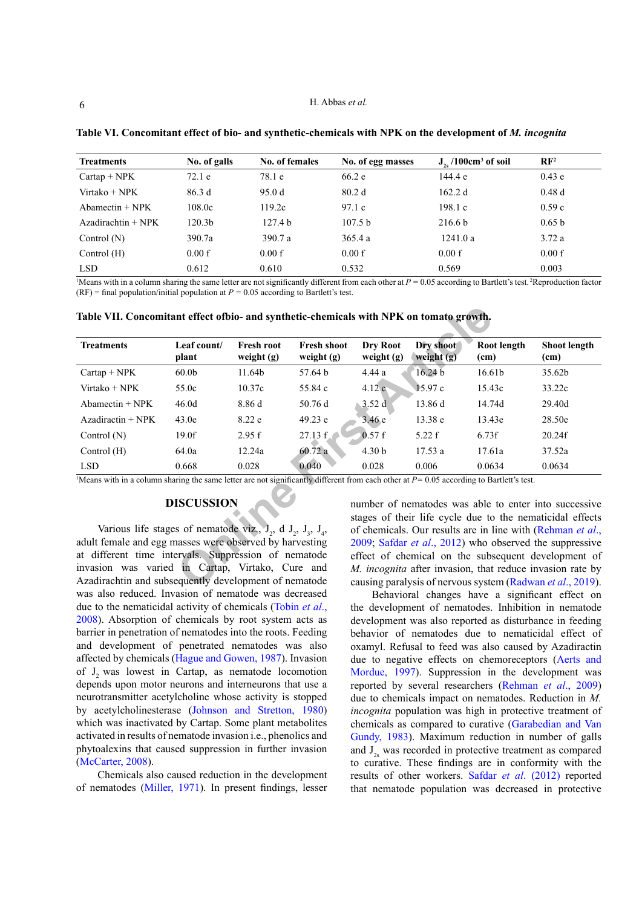| <b>Treatments</b>    | No. of galls       | No. of females     | No. of egg masses  | $J_{2n}/100 \text{cm}^3$ of soil | $\mathbb{R}F^2$   |
|----------------------|--------------------|--------------------|--------------------|----------------------------------|-------------------|
| $Cartap + NPK$       | 72.1 e             | 78.1 e             | 66.2e              | 144.4 e                          | 0.43e             |
| $Virtako + NPK$      | 86.3d              | 95.0 d             | 80.2 <sub>d</sub>  | 162.2 d                          | 0.48d             |
| $Abamectin + NPK$    | 108.0c             | 119.2c             | 97.1c              | 198.1c                           | 0.59c             |
| $Azadirachtin + NPK$ | 120.3 <sub>b</sub> | 127.4 <sub>b</sub> | 107.5 <sub>b</sub> | 216.6 <sub>b</sub>               | 0.65 <sub>b</sub> |
| Control $(N)$        | 390.7a             | 390.7 a            | 365.4a             | 1241.0a                          | 3.72a             |
| Control $(H)$        | 0.00 f             | 0.00 f             | 0.00 f             | 0.00 f                           | 0.00 f            |
| <b>LSD</b>           | 0.612              | 0.610              | 0.532              | 0.569                            | 0.003             |

<span id="page-5-0"></span>**Table VI. Concomitant effect of bio- and synthetic-chemicals with NPK on the development of** *M. incognita*

Means with in a column sharing the same letter are not significantly different from each other at  $P = 0.05$  according to Bartlett's test. <sup>2</sup>Reproduction factor  $(RF)$  = final population/initial population at  $P = 0.05$  according to Bartlett's test.

<span id="page-5-1"></span>

| <b>Treatments</b>                                                                                                                                                                                                            | Leaf count/<br>plant | <b>Fresh root</b><br>weight (g) | <b>Fresh shoot</b><br>weight $(g)$ | Dry Root<br>weight $(g)$                                                                                              | Dry shoot<br>weight $(g)$ | Root length<br>(cm) | Shoot length<br>(cm)                                                                                                                                                           |
|------------------------------------------------------------------------------------------------------------------------------------------------------------------------------------------------------------------------------|----------------------|---------------------------------|------------------------------------|-----------------------------------------------------------------------------------------------------------------------|---------------------------|---------------------|--------------------------------------------------------------------------------------------------------------------------------------------------------------------------------|
| $Cartap + NPK$                                                                                                                                                                                                               | 60.0 <sub>b</sub>    | 11.64b                          | 57.64 b                            | 4.44 a                                                                                                                | 16.24 <sub>b</sub>        | 16.61b              | 35.62b                                                                                                                                                                         |
| Virtako + $NPK$                                                                                                                                                                                                              | 55.0c                | 10.37c                          | 55.84 c                            | 4.12c                                                                                                                 | 15.97c                    | 15.43c              | 33.22c                                                                                                                                                                         |
| $Abamectin + NPK$                                                                                                                                                                                                            | 46.0 <sub>d</sub>    | 8.86 d                          | 50.76d                             | 3.52d                                                                                                                 | 13.86 d                   | 14.74d              | 29.40d                                                                                                                                                                         |
| $Azadiractin + NPK$                                                                                                                                                                                                          | 43.0e                | 8.22e                           | 49.23 e                            | 3.46e                                                                                                                 | 13.38 e                   | 13.43e              | 28.50e                                                                                                                                                                         |
| Control $(N)$                                                                                                                                                                                                                | 19.0f                | 2.95 f                          | 27.13 f                            | 0.57 f                                                                                                                | 5.22 f                    | 6.73f               | 20.24f                                                                                                                                                                         |
| Control $(H)$                                                                                                                                                                                                                | 64.0a                | 12.24a                          | 60.72a                             | 4.30 <sub>b</sub>                                                                                                     | 17.53a                    | 17.61a              | 37.52a                                                                                                                                                                         |
| <b>LSD</b>                                                                                                                                                                                                                   | 0.668                | 0.028                           | 0.040                              | 0.028                                                                                                                 | 0.006                     | 0.0634              | 0.0634                                                                                                                                                                         |
| Means with in a column sharing the same letter are not significantly different from each other at $P = 0.05$ according to Bartlett's test.                                                                                   | <b>DISCUSSION</b>    |                                 |                                    |                                                                                                                       |                           |                     | number of nematodes was able to enter into successive<br>stages of their life cycle due to the nematicidal effects                                                             |
| Various life stages of nematode viz., $J_{2}$ , d $J_{3}$ , $J_{4}$ ,                                                                                                                                                        |                      |                                 |                                    | of chemicals. Our results are in line with (Rehman et al.,<br>2009; Safdar et al., 2012) who observed the suppressive |                           |                     |                                                                                                                                                                                |
| adult female and egg masses were observed by harvesting<br>at different time intervals. Suppression of nematode<br>invasion was varied in Cartap, Virtako, Cure and<br>Azadirachtin and subsequently development of nematode |                      |                                 |                                    |                                                                                                                       |                           |                     | effect of chemical on the subsequent development of<br>M. incognita after invasion, that reduce invasion rate by<br>causing paralysis of nervous system (Radwan et al., 2019). |

## **DISCUSSION**

Various life stages of nematode viz.,  $J_2$ , d  $J_2$ ,  $J_3$ ,  $J_4$ , adult female and egg masses were observed by harvesting at different time intervals. Suppression of nematode invasion was varied in Cartap, Virtako, Cure and Azadirachtin and subsequently development of nematode was also reduced. Invasion of nematode was decreased due to the nematicidal activity of chemicals [\(Tobin](#page-8-3) *et al*., [2008\)](#page-8-3). Absorption of chemicals by root system acts as barrier in penetration of nematodes into the roots. Feeding and development of penetrated nematodes was also affected by chemicals ([Hague and Gowen, 1987\)](#page-7-11). Invasion of J<sub>2</sub> was lowest in Cartap, as nematode locomotion depends upon motor neurons and interneurons that use a neurotransmitter acetylcholine whose activity is stopped by acetylcholinesterase [\(Johnson and Stretton, 198](#page-7-8)0) which was inactivated by Cartap. Some plant metabolites activated in results of nematode invasion i.e., phenolics and phytoalexins that caused suppression in further invasion [\(McCarter, 2008\)](#page-8-4).

Chemicals also caused reduction in the development of nematodes ([Miller, 1971](#page-8-5)). In present findings, lesser

Behavioral changes have a significant effect on the development of nematodes. Inhibition in nematode development was also reported as disturbance in feeding behavior of nematodes due to nematicidal effect of oxamyl. Refusal to feed was also caused by Azadiractin due to negative effects on chemoreceptors [\(Aerts and](#page-6-4)  [Mordue, 1997](#page-6-4)). Suppression in the development was reported by several researchers ([Rehman](#page-8-6) *et al*., 2009) due to chemicals impact on nematodes. Reduction in *M. incognita* population was high in protective treatment of chemicals as compared to curative ([Garabedian and Van](#page-7-12)  [Gundy, 1983\)](#page-7-12). Maximum reduction in number of galls and  $J<sub>2s</sub>$  was recorded in protective treatment as compared to curative. These findings are in conformity with the results of other workers. Safdar *et al*[. \(2012\)](#page-8-7) reported that nematode population was decreased in protective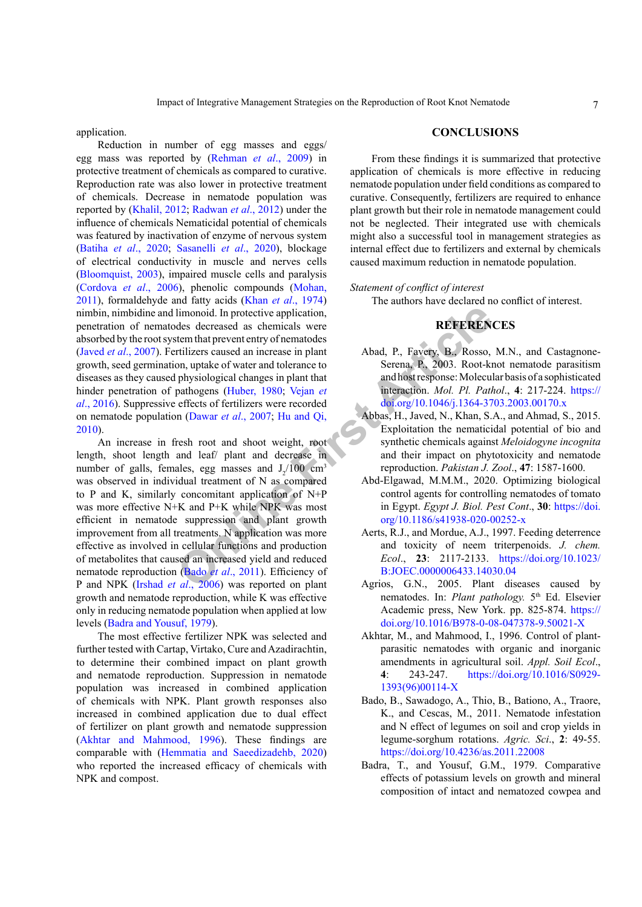application.

Reduction in number of egg masses and eggs/ egg mass was reported by ([Rehman](#page-8-6) *et al*., 2009) in protective treatment of chemicals as compared to curative. Reproduction rate was also lower in protective treatment of chemicals. Decrease in nematode population was reported by ([Khalil, 2012;](#page-7-13) [Radwan](#page-8-9) *et al*., 2012) under the influence of chemicals Nematicidal potential of chemicals was featured by inactivation of enzyme of nervous system (Batiha *et al*[., 2020;](#page-7-14) Sasanelli *et al*., 2020), blockage of electrical conductivity in muscle and nerves cells ([Bloomquist, 2003](#page-7-15)), impaired muscle cells and paralysis [\(Cordova](#page-7-16) *et al*., 2006), phenolic compounds [\(Mohan,](#page-8-10) [2011](#page-8-10)), formaldehyde and fatty acids (Khan *et al*[., 1974\)](#page-8-11) nimbin, nimbidine and limonoid. In protective application, penetration of nematodes decreased as chemicals were absorbed by the root system that prevent entry of nematodes (Javed *et al*[., 2007](#page-7-17)). Fertilizers caused an increase in plant growth, seed germination, uptake of water and tolerance to diseases as they caused physiological changes in plant that hinder penetration of pathogens (Huber, 1980; Vejan *et al*[., 2016](#page-8-12)). Suppressive effects of fertilizers were recorded on nematode population (Dawar *et al*., 2007; Hu and Qi, [2010\)](#page-7-20).

limo[n](#page-6-5)oid. In protective application,<br>
the descreased as chemicals were<br>
term that prevent entry of nematodes<br>
on, uptake of water and tolerance to<br>
on, uptake of water and tolerance to<br>
parthogens (Huber, 1980; Vejan *et* An increase in fresh root and shoot weight, root length, shoot length and leaf/ plant and decrease in number of galls, females, egg masses and  $J_2/100$  cm<sup>3</sup> was observed in individual treatment of N as compared to P and K, similarly concomitant application of N+P was more effective N+K and P+K while NPK was most efficient in nematode suppression and plant growth improvement from all treatments. N application was more effective as involved in cellular functions and production of metabolites that caused an increased yield and reduced nematode reproduction (Bado *et al*., 2011). Efficiency of P and NPK (Irshad *et al*., 2006) was reported on plant growth and nematode reproduction, while K was effective only in reducing nematode population when applied at low levels ([Badra and Yousuf, 1979](#page-6-6)).

The most effective fertilizer NPK was selected and further tested with Cartap, Virtako, Cure and Azadirachtin, to determine their combined impact on plant growth and nematode reproduction. Suppression in nematode population was increased in combined application of chemicals with NPK. Plant growth responses also increased in combined application due to dual effect of fertilizer on plant growth and nematode suppression [\(Akhtar and Mahmood, 1996](#page-6-7)). These findings are comparable with [\(Hemmatia and Saeedizadehb, 2020\)](#page-7-22) who reported the increased efficacy of chemicals with NPK and compost.

#### **CONCLUSIONS**

From these findings it is summarized that protective application of chemicals is more effective in reducing nematode population under field conditions as compared to curative. Consequently, fertilizers are required to enhance plant growth but their role in nematode management could not be neglected. Their integrated use with chemicals might also a successful tool in management strategies as internal effect due to fertilizers and external by chemicals caused maximum reduction in nematode population.

#### *Statement of conflict of interest*

The authors have declared no conflict of interest.

## **REFERENCES**

- <span id="page-6-0"></span>Abad, P., Favery, B., Rosso, M.N., and Castagnone-Serena, P., 2003. Root-knot nematode parasitism and host response: Molecular basis of a sophisticated interaction. *Mol. Pl. Pathol*., **4**: 217-224. [https://](https://doi.org/10.1046/j.1364-3703.2003.00170.x) [doi.org/10.1046/j.1364-3703.2003.00170.x](https://doi.org/10.1046/j.1364-3703.2003.00170.x)
- <span id="page-6-3"></span>Abbas, H., Javed, N., Khan, S.A., and Ahmad, S., 2015. Exploitation the nematicidal potential of bio and synthetic chemicals against *Meloidogyne incognita* and their impact on phytotoxicity and nematode reproduction. *Pakistan J. Zool*., **47**: 1587-1600.
- <span id="page-6-2"></span>Abd-Elgawad, M.M.M., 2020. Optimizing biological control agents for controlling nematodes of tomato in Egypt. *Egypt J. Biol. Pest Cont*., **30**: [https://doi.](https://doi.org/10.1186/s41938-020-00252-x) org/10.1186/s41938-020-00252-x
- <span id="page-6-4"></span>Aerts, R.J., and Mordue, A.J., 1997. Feeding deterrence and toxicity of neem triterpenoids. *J. chem. Ecol*., **23**: 2117-2133. [https://doi.org/10.1023/](https://doi.org/10.1023/B:JOEC.0000006433.14030.04) B:JOEC.0000006433.14030.04
- <span id="page-6-1"></span>Agrios, G.N., 2005. Plant diseases caused by nematodes. In: Plant pathology. 5<sup>th</sup> Ed. Elsevier Academic press, New York. pp. 825-874. [https://](https://doi.org/10.1016/B978-0-08-047378-9.50021-X) [doi.org/10.1016/B978-0-08-047378-9.50021-X](https://doi.org/10.1016/B978-0-08-047378-9.50021-X)
- <span id="page-6-7"></span>Akhtar, M., and Mahmood, I., 1996. Control of plantparasitic nematodes with organic and inorganic amendments in agricultural soil. *Appl. Soil Ecol*., **4**: 243-247. [https://doi.org/10.1016/S0929-](https://doi.org/10.1016/S0929-1393(96)00114-X) [1393\(96\)00114-X](https://doi.org/10.1016/S0929-1393(96)00114-X)
- <span id="page-6-5"></span>Bado, B., Sawadogo, A., Thio, B., Bationo, A., Traore, K., and Cescas, M., 2011. Nematode infestation and N effect of legumes on soil and crop yields in legume-sorghum rotations. *Agric. Sci*., **2**: 49-55. <https://doi.org/10.4236/as.2011.22008>
- <span id="page-6-6"></span>Badra, T., and Yousuf, G.M., 1979. Comparative effects of potassium levels on growth and mineral composition of intact and nematozed cowpea and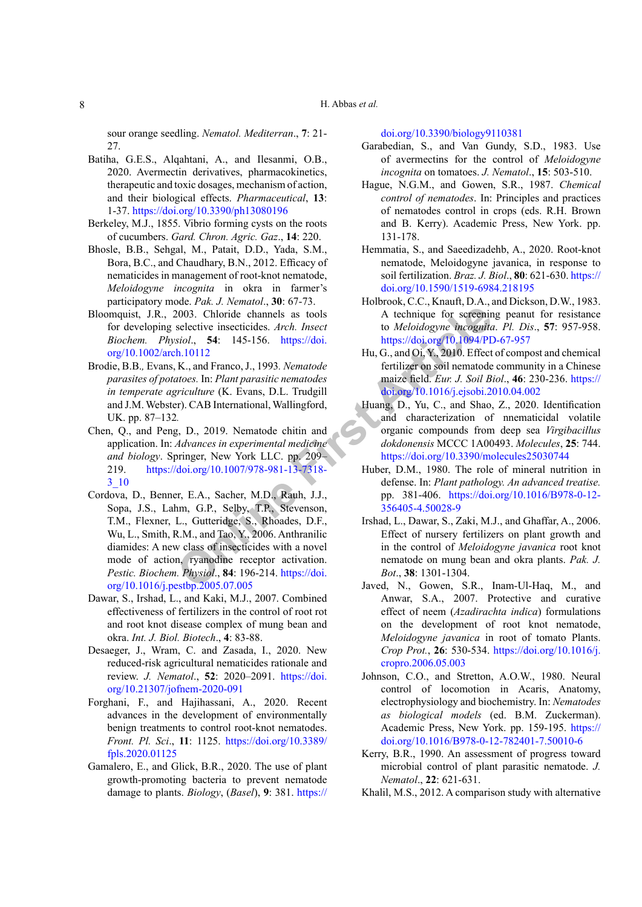sour orange seedling. *Nematol. Mediterran*., **7**: 21- 27.

- <span id="page-7-14"></span>Batiha, G.E.S., Alqahtani, A., and Ilesanmi, O.B., 2020. Avermectin derivatives, pharmacokinetics, therapeutic and toxic dosages, mechanism of action, and their biological effects. *Pharmaceutical*, **13**: 1-37. <https://doi.org/10.3390/ph13080196>
- <span id="page-7-0"></span>Berkeley, M.J., 1855. Vibrio forming cysts on the roots of cucumbers. *Gard. Chron. Agric. Gaz*., **14**: 220.
- <span id="page-7-9"></span>Bhosle, B.B., Sehgal, M., Patait, D.D., Yada, S.M., Bora, B.C., and Chaudhary, B.N., 2012. Efficacy of nematicides in management of root-knot nematode, *Meloidogyne incognita* in okra in farmer's participatory mode. *Pak. J. Nematol*., **30**: 67-73.
- Bloomquist, J.R., 2003. Chloride channels as tools for developing selective insecticides. *Arch. Insect Biochem. Physiol*., **54**: 145-156. https://doi. [org/10.1002/arch.10112](https://doi.org/10.1002/arch.10112)
- <span id="page-7-1"></span>Brodie, B.B.*,* Evans, K., and Franco, J., 1993*. Nematode parasites of potatoes.* In: *Plant parasitic nematodes in temperate agriculture* (K. Evans, D.L. Trudgill and J.M. Webster). CAB International, Wallingford, UK. pp. 87*–*132*.*
- <span id="page-7-16"></span><span id="page-7-3"></span>Chen, Q., and Peng, D., 2019. Nematode chitin and application. In: *Advances in experimental medicine and biology*. Springer, New York LLC. pp. 209– 219. https://doi.org/10.1007/978-981-13-7318- [3\\_10](https://doi.org/10.1007/978-981-13-7318-3_10)
- <span id="page-7-15"></span>2003. Chloride channels as tools<br>
2003. Chloride channels as tools<br>
selective insecticides. Arch. Insect<br>
10003. Chloride channels as tools<br> **[Fi](https://doi.org/10.1007/978-981-13-7318-3_10)g. 3.** Articles Arch. Insect<br>
10003. A technique for screening<br> **Fig. 3.** Arti Cordova, D., Benner, E.A., Sacher, M.D., Rauh, J.J., Sopa, J.S., Lahm, G.P., Selby, T.P., Stevenson, T.M., Flexner, L., Gutteridge, S., Rhoades, D.F., Wu, L., Smith, R.M., and Tao, Y., 2006. Anthranilic diamides: A new class of insecticides with a novel mode of action, ryanodine receptor activation. *Pestic. Biochem. Physiol*., **84**: 196-214. https://doi. [org/10.1016/j.pestbp.2005.07.005](https://doi.org/10.1016/j.pestbp.2005.07.005)
- <span id="page-7-19"></span>Dawar, S., Irshad, L., and Kaki, M.J., 2007. Combined effectiveness of fertilizers in the control of root rot and root knot disease complex of mung bean and okra. *Int. J. Biol. Biotech*., **4**: 83-88.
- <span id="page-7-7"></span>Desaeger, J., Wram, C. and Zasada, I., 2020. New reduced-risk agricultural nematicides rationale and review. *J. Nematol*., **52**: 2020–2091. [https://doi.](https://doi.org/10.21307/jofnem-2020-091) [org/10.21307/jofnem-2020-091](https://doi.org/10.21307/jofnem-2020-091)
- <span id="page-7-2"></span>Forghani, F., and Hajihassani, A., 2020. Recent advances in the development of environmentally benign treatments to control root-knot nematodes. *Front. Pl. Sci*., **11**: 1125. [https://doi.org/10.3389/](https://doi.org/10.3389/fpls.2020.01125) [fpls.2020.01125](https://doi.org/10.3389/fpls.2020.01125)
- <span id="page-7-4"></span>Gamalero, E., and Glick, B.R., 2020. The use of plant growth-promoting bacteria to prevent nematode damage to plants. *Biology*, (*Basel*), **9**: 381. [https://](https://doi.org/10.3390/biology9110381)

[doi.org/10.3390/biology9110381](https://doi.org/10.3390/biology9110381)

- <span id="page-7-12"></span>Garabedian, S., and Van Gundy, S.D., 1983. Use of avermectins for the control of *Meloidogyne incognita* on tomatoes. *J. Nematol*., **15**: 503-510.
- <span id="page-7-11"></span>Hague, N.G.M., and Gowen, S.R., 1987. *Chemical control of nematodes*. In: Principles and practices of nematodes control in crops (eds. R.H. Brown and B. Kerry). Academic Press, New York. pp. 131-178.
- <span id="page-7-22"></span>Hemmatia, S., and Saeedizadehb, A., 2020. Root-knot nematode, Meloidogyne javanica, in response to soil fertilization. *Braz. J. Biol*., **80**: 621-630. [https://](https://doi.org/10.1590/1519-6984.218195) [doi.org/10.1590/1519-6984.218195](https://doi.org/10.1590/1519-6984.218195)
- <span id="page-7-10"></span>Holbrook, C.C., Knauft, D.A., and Dickson, D.W., 1983. A technique for screening peanut for resistance to *Meloidogyne incognita*. *Pl. Dis*., **57**: 957-958. <https://doi.org/10.1094/PD-67-957>
- <span id="page-7-20"></span>Hu, G., and Oi, Y., 2010. Effect of compost and chemical fertilizer on soil nematode community in a Chinese maize field. *Eur. J. Soil Biol*., **46**: 230-236. [https://](https://doi.org/10.1016/j.ejsobi.2010.04.002) [doi.org/10.1016/j.ejsobi.2010.04.002](https://doi.org/10.1016/j.ejsobi.2010.04.002)
- <span id="page-7-6"></span>Huang, D., Yu, C., and Shao, Z., 2020. Identification and characterization of nnematicidal volatile organic compounds from deep sea *Virgibacillus dokdonensis* MCCC 1A00493. *Molecules*, **25**: 744. <https://doi.org/10.3390/molecules25030744>
- <span id="page-7-18"></span>Huber, D.M., 1980. The role of mineral nutrition in defense. In: *Plant pathology. An advanced treatise.* pp. 381-406. [https://doi.org/10.1016/B978-0-12-](https://doi.org/10.1016/B978-0-12-356405-4.50028-9) 356405-4.50028-9
- <span id="page-7-21"></span>Irshad, L., Dawar, S., Zaki, M.J., and Ghaffar, A., 2006. Effect of nursery fertilizers on plant growth and in the control of *Meloidogyne javanica* root knot nematode on mung bean and okra plants. *Pak. J. Bot*., **38**: 1301-1304.
- <span id="page-7-17"></span>Javed, N., Gowen, S.R., Inam-Ul-Haq, M., and Anwar, S.A., 2007. Protective and curative effect of neem (*Azadirachta indica*) formulations on the development of root knot nematode, *Meloidogyne javanica* in root of tomato Plants. *Crop Prot.*, **26**: 530-534. [https://doi.org/10.1016/j.](https://doi.org/10.1016/j.cropro.2006.05.003) [cropro.2006.05.003](https://doi.org/10.1016/j.cropro.2006.05.003)
- <span id="page-7-8"></span>Johnson, C.O., and Stretton, A.O.W., 1980. Neural control of locomotion in Acaris, Anatomy, electrophysiology and biochemistry. In: *Nematodes as biological models* (ed. B.M. Zuckerman). Academic Press, New York. pp. 159-195. [https://](https://doi.org/10.1016/B978-0-12-782401-7.50010-6) [doi.org/10.1016/B978-0-12-782401-7.50010-6](https://doi.org/10.1016/B978-0-12-782401-7.50010-6)
- <span id="page-7-5"></span>Kerry, B.R., 1990. An assessment of progress toward microbial control of plant parasitic nematode. *J. Nematol*., **22**: 621-631.
- <span id="page-7-13"></span>Khalil, M.S., 2012. A comparison study with alternative